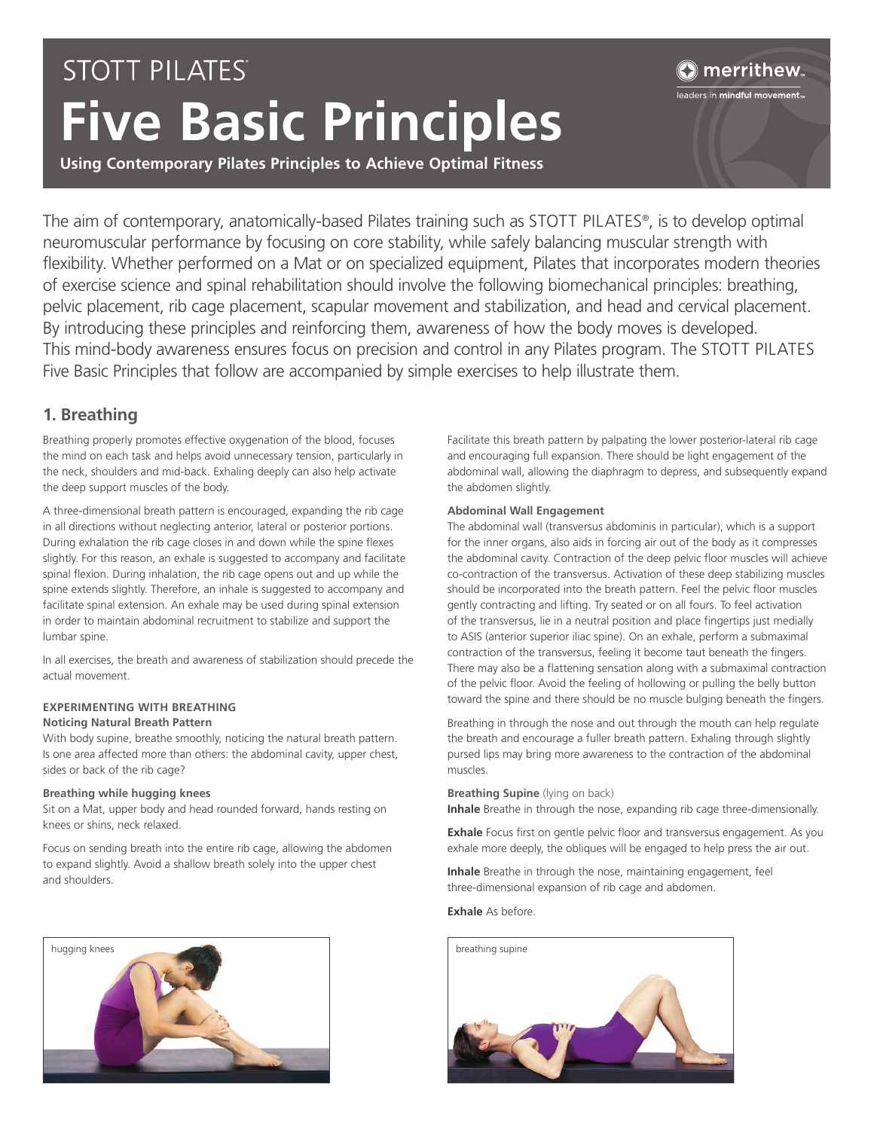# **STOTT PILATES Five Basic Principles**

# merrithew.

leaders in mindful movement $_{\textrm{\tiny{IV}}}$ 

**Using Contemporary Pilates Principles to Achieve Optimal Fitness**

The aim of contemporary, anatomically-based Pilates training such as STOTT PILATES®, is to develop optimal neuromuscular performance by focusing on core stability, while safely balancing muscular strength with flexibility. Whether performed on a Mat or on specialized equipment, Pilates that incorporates modern theories of exercise science and spinal rehabilitation should involve the following biomechanical principles: breathing, pelvic placement, rib cage placement, scapular movement and stabilization, and head and cervical placement. By introducing these principles and reinforcing them, awareness of how the body moves is developed. This mind-body awareness ensures focus on precision and control in any Pilates program. The STOTT PILATES Five Basic Principles that follow are accompanied by simple exercises to help illustrate them.

# **1. Breathing**

Breathing properly promotes effective oxygenation of the blood, focuses the mind on each task and helps avoid unnecessary tension, particularly in the neck, shoulders and mid-back. Exhaling deeply can also help activate the deep support muscles of the body.

A three-dimensional breath pattern is encouraged, expanding the rib cage in all directions without neglecting anterior, lateral or posterior portions. During exhalation the rib cage closes in and down while the spine flexes slightly. For this reason, an exhale is suggested to accompany and facilitate spinal flexion. During inhalation, the rib cage opens out and up while the spine extends slightly. Therefore, an inhale is suggested to accompany and facilitate spinal extension. An exhale may be used during spinal extension in order to maintain abdominal recruitment to stabilize and support the lumbar spine.

In all exercises, the breath and awareness of stabilization should precede the actual movement.

## **EXPERIMENTING WITH BREATHING Noticing Natural Breath Pattern**

With body supine, breathe smoothly, noticing the natural breath pattern. Is one area affected more than others: the abdominal cavity, upper chest, sides or back of the rib cage?

### **Breathing while hugging knees**

Sit on a Mat, upper body and head rounded forward, hands resting on knees or shins, neck relaxed.

Focus on sending breath into the entire rib cage, allowing the abdomen to expand slightly. Avoid a shallow breath solely into the upper chest and shoulders.



Facilitate this breath pattern by palpating the lower posterior-lateral rib cage and encouraging full expansion. There should be light engagement of the abdominal wall, allowing the diaphragm to depress, and subsequently expand the abdomen slightly.

## **Abdominal Wall Engagement**

The abdominal wall (transversus abdominis in particular), which is a support for the inner organs, also aids in forcing air out of the body as it compresses the abdominal cavity. Contraction of the deep pelvic floor muscles will achieve co-contraction of the transversus. Activation of these deep stabilizing muscles should be incorporated into the breath pattern. Feel the pelvic floor muscles gently contracting and lifting. Try seated or on all fours. To feel activation of the transversus, lie in a neutral position and place fingertips just medially to ASIS (anterior superior iliac spine). On an exhale, perform a submaximal contraction of the transversus, feeling it become taut beneath the fingers. There may also be a flattening sensation along with a submaximal contraction of the pelvic floor. Avoid the feeling of hollowing or pulling the belly button toward the spine and there should be no muscle bulging beneath the fingers.

Breathing in through the nose and out through the mouth can help regulate the breath and encourage a fuller breath pattern. Exhaling through slightly pursed lips may bring more awareness to the contraction of the abdominal muscles.

#### **Breathing Supine** (lying on back)

**Inhale** Breathe in through the nose, expanding rib cage three-dimensionally.

**Exhale** Focus first on gentle pelvic floor and transversus engagement. As you exhale more deeply, the obliques will be engaged to help press the air out.

**Inhale** Breathe in through the nose, maintaining engagement, feel three-dimensional expansion of rib cage and abdomen.

#### **Exhale** As before.

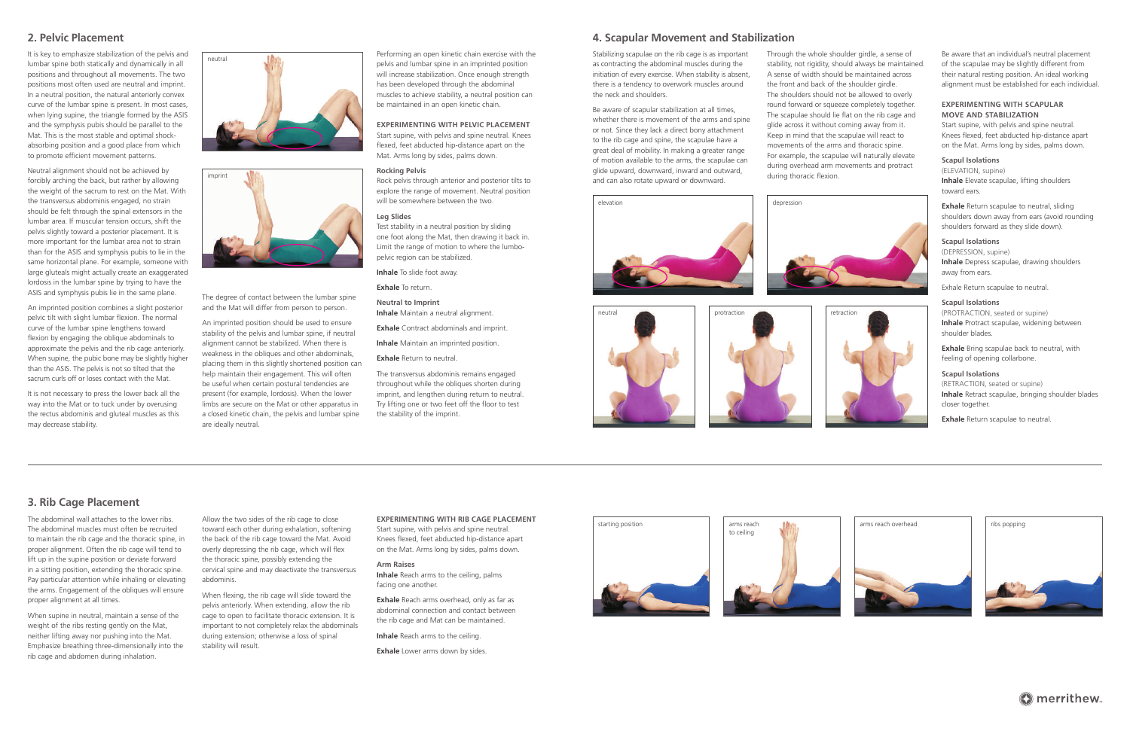# **4. Scapular Movement and Stabilization**

Stabilizing scapulae on the rib cage is as important as contracting the abdominal muscles during the initiation of every exercise. When stability is absent, there is a tendency to overwork muscles around the neck and shoulders.

Be aware of scapular stabilization at all times, whether there is movement of the arms and spine or not. Since they lack a direct bony attachment to the rib cage and spine, the scapulae have a great deal of mobility. In making a greater range of motion available to the arms, the scapulae can glide upward, downward, inward and outward, and can also rotate upward or downward.

> **Exhale** Return scapulae to neutral, sliding shoulders down away from ears (avoid rounding shoulders forward as they slide down).

Through the whole shoulder girdle, a sense of stability, not rigidity, should always be maintained. A sense of width should be maintained across the front and back of the shoulder girdle. The shoulders should not be allowed to overly round forward or squeeze completely together. The scapulae should lie flat on the rib cage and glide across it without coming away from it. Keep in mind that the scapulae will react to movements of the arms and thoracic spine. For example, the scapulae will naturally elevate during overhead arm movements and protract during thoracic flexion.



Be aware that an individual's neutral placement of the scapulae may be slightly different from their natural resting position. An ideal working alignment must be established for each individual.

# **EXPERIMENTING WITH SCAPULAR MOVE AND STABILIZATION**

Start supine, with pelvis and spine neutral. Knees flexed, feet abducted hip-distance apart on the Mat. Arms long by sides, palms down.

# **Scapul Isolations**

(ELEVATION, supine) **Inhale** Elevate scapulae, lifting shoulders toward ears.

## **Scapul Isolations**

(DEPRESSION, supine) **Inhale** Depress scapulae, drawing shoulders away from ears.

Exhale Return scapulae to neutral.

## **Scapul Isolations**

(PROTRACTION, seated or supine) **Inhale** Protract scapulae, widening between shoulder blades.

**Exhale** Bring scapulae back to neutral, with feeling of opening collarbone.

## **Scapul Isolations**

(RETRACTION, seated or supine) **Inhale** Retract scapulae, bringing shoulder blades closer together.

**Exhale** Return scapulae to neutral.



# **3. Rib Cage Placement**

The abdominal wall attaches to the lower ribs. The abdominal muscles must often be recruited to maintain the rib cage and the thoracic spine, in proper alignment. Often the rib cage will tend to lift up in the supine position or deviate forward in a sitting position, extending the thoracic spine. Pay particular attention while inhaling or elevating the arms. Engagement of the obliques will ensure proper alignment at all times.

When supine in neutral, maintain a sense of the weight of the ribs resting gently on the Mat, neither lifting away nor pushing into the Mat. Emphasize breathing three-dimensionally into the rib cage and abdomen during inhalation.

The degree of contact between the lumbar spine and the Mat will differ from person to person.

Allow the two sides of the rib cage to close toward each other during exhalation, softening the back of the rib cage toward the Mat. Avoid overly depressing the rib cage, which will flex the thoracic spine, possibly extending the cervical spine and may deactivate the transversus abdominis.

When flexing, the rib cage will slide toward the pelvis anteriorly. When extending, allow the rib cage to open to facilitate thoracic extension. It is important to not completely relax the abdominals during extension; otherwise a loss of spinal stability will result.

#### **EXPERIMENTING WITH RIB CAGE PLACEMENT**

Start supine, with pelvis and spine neutral. Knees flexed, feet abducted hip-distance apart on the Mat. Arms long by sides, palms down.

#### **Arm Raises**

**Inhale** Reach arms to the ceiling, palms facing one another.

**Exhale** Reach arms overhead, only as far as abdominal connection and contact between the rib cage and Mat can be maintained.

**Inhale** Reach arms to the ceiling.

**Exhale** Lower arms down by sides.

# **2. Pelvic Placement**

It is key to emphasize stabilization of the pelvis and lumbar spine both statically and dynamically in all positions and throughout all movements. The two positions most often used are neutral and imprint. In a neutral position, the natural anteriorly convex curve of the lumbar spine is present. In most cases, when lying supine, the triangle formed by the ASIS and the symphysis pubis should be parallel to the Mat. This is the most stable and optimal shockabsorbing position and a good place from which to promote efficient movement patterns.

Neutral alignment should not be achieved by forcibly arching the back, but rather by allowing the weight of the sacrum to rest on the Mat. With the transversus abdominis engaged, no strain should be felt through the spinal extensors in the lumbar area. If muscular tension occurs, shift the pelvis slightly toward a posterior placement. It is more important for the lumbar area not to strain than for the ASIS and symphysis pubis to lie in the same horizontal plane. For example, someone with large gluteals might actually create an exaggerated lordosis in the lumbar spine by trying to have the ASIS and symphysis pubis lie in the same plane.

An imprinted position combines a slight posterior pelvic tilt with slight lumbar flexion. The normal curve of the lumbar spine lengthens toward flexion by engaging the oblique abdominals to approximate the pelvis and the rib cage anteriorly. When supine, the pubic bone may be slightly higher than the ASIS. The pelvis is not so tilted that the sacrum curls off or loses contact with the Mat.

It is not necessary to press the lower back all the way into the Mat or to tuck under by overusing the rectus abdominis and gluteal muscles as this may decrease stability.

An imprinted position should be used to ensure stability of the pelvis and lumbar spine, if neutral alignment cannot be stabilized. When there is weakness in the obliques and other abdominals, placing them in this slightly shortened position can help maintain their engagement. This will often be useful when certain postural tendencies are present (for example, lordosis). When the lower limbs are secure on the Mat or other apparatus in a closed kinetic chain, the pelvis and lumbar spine are ideally neutral.

Performing an open kinetic chain exercise with the pelvis and lumbar spine in an imprinted position will increase stabilization. Once enough strength has been developed through the abdominal muscles to achieve stability, a neutral position can be maintained in an open kinetic chain.

# **EXPERIMENTING WITH PELVIC PLACEMENT**

Start supine, with pelvis and spine neutral. Knees flexed, feet abducted hip-distance apart on the Mat. Arms long by sides, palms down.

#### **Rocking Pelvis**

Rock pelvis through anterior and posterior tilts to explore the range of movement. Neutral position will be somewhere between the two.

#### **Leg Slides**

Test stability in a neutral position by sliding one foot along the Mat, then drawing it back in. Limit the range of motion to where the lumbopelvic region can be stabilized.

**Inhale** To slide foot away.

**Exhale** To return.

**Neutral to Imprint Inhale** Maintain a neutral alignment.

**Exhale** Contract abdominals and imprint.

**Inhale** Maintain an imprinted position.

**Exhale** Return to neutral.

The transversus abdominis remains engaged throughout while the obliques shorten during imprint, and lengthen during return to neutral. Try lifting one or two feet off the floor to test the stability of the imprint.